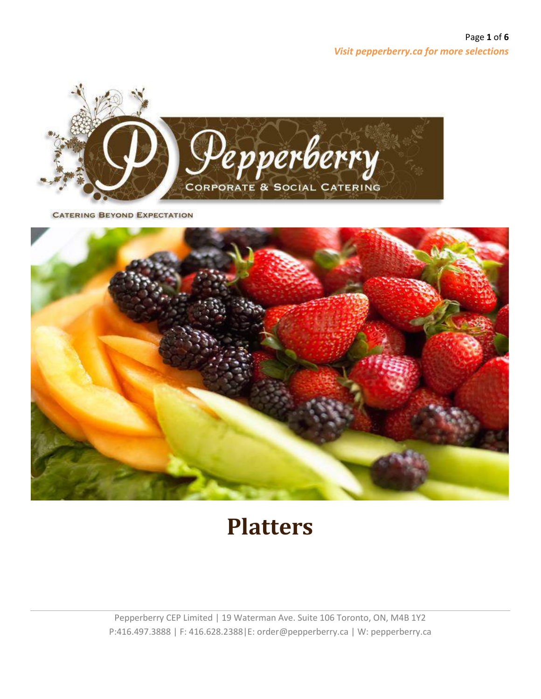

**CATERING BEYOND EXPECTATION** 



## **Platters**

Pepperberry CEP Limited | 19 Waterman Ave. Suite 106 Toronto, ON, M4B 1Y2 P:416.497.3888 | F: 416.628.2388|E: order@pepperberry.ca | W: pepperberry.ca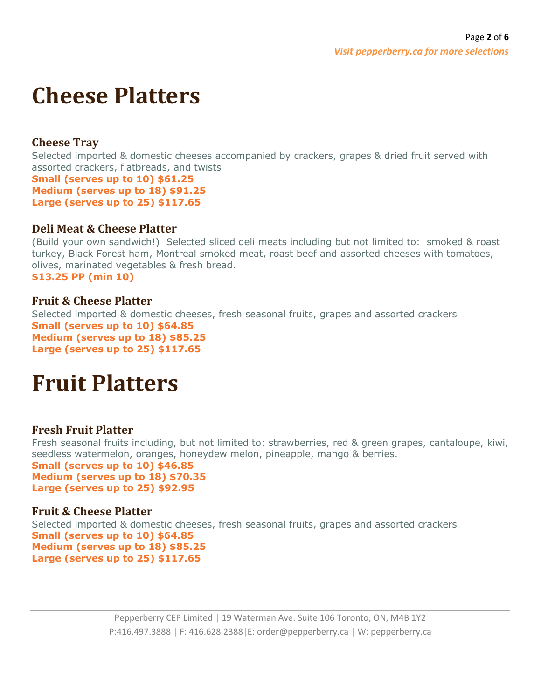# **Cheese Platters**

## **Cheese Tray**

Selected imported & domestic cheeses accompanied by crackers, grapes & dried fruit served with assorted crackers, flatbreads, and twists **Small (serves up to 10) \$61.25 Medium (serves up to 18) \$91.25 Large (serves up to 25) \$117.65**

## **Deli Meat & Cheese Platter**

(Build your own sandwich!) Selected sliced deli meats including but not limited to: smoked & roast turkey, Black Forest ham, Montreal smoked meat, roast beef and assorted cheeses with tomatoes, olives, marinated vegetables & fresh bread. **\$13.25 PP (min 10)**

### **Fruit & Cheese Platter**

Selected imported & domestic cheeses, fresh seasonal fruits, grapes and assorted crackers **Small (serves up to 10) \$64.85 Medium (serves up to 18) \$85.25 Large (serves up to 25) \$117.65**

## **Fruit Platters**

## **Fresh Fruit Platter**

Fresh seasonal fruits including, but not limited to: strawberries, red & green grapes, cantaloupe, kiwi, seedless watermelon, oranges, honeydew melon, pineapple, mango & berries.

**Small (serves up to 10) \$46.85 Medium (serves up to 18) \$70.35 Large (serves up to 25) \$92.95**

## **Fruit & Cheese Platter**

Selected imported & domestic cheeses, fresh seasonal fruits, grapes and assorted crackers **Small (serves up to 10) \$64.85 Medium (serves up to 18) \$85.25 Large (serves up to 25) \$117.65**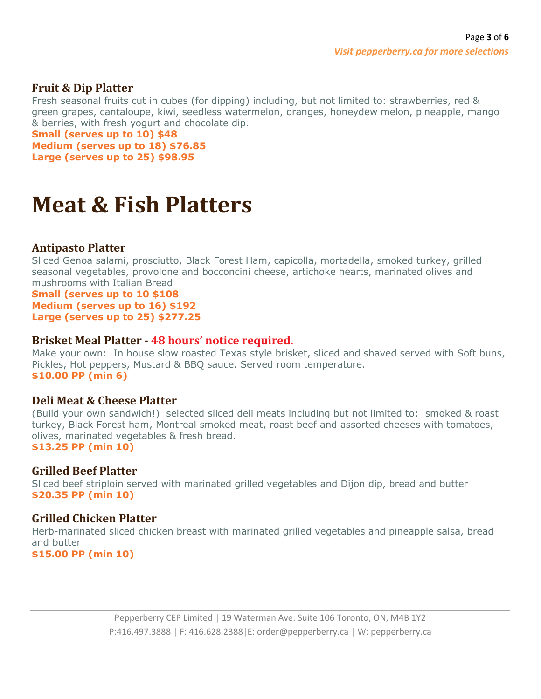#### **Fruit & Dip Platter**

Fresh seasonal fruits cut in cubes (for dipping) including, but not limited to: strawberries, red & green grapes, cantaloupe, kiwi, seedless watermelon, oranges, honeydew melon, pineapple, mango & berries, with fresh yogurt and chocolate dip.

**Small (serves up to 10) \$48**

**Medium (serves up to 18) \$76.85 Large (serves up to 25) \$98.95**

## **Meat & Fish Platters**

#### **Antipasto Platter**

Sliced Genoa salami, prosciutto, Black Forest Ham, capicolla, mortadella, smoked turkey, grilled seasonal vegetables, provolone and bocconcini cheese, artichoke hearts, marinated olives and mushrooms with Italian Bread

#### **Small (serves up to 10 \$108 Medium (serves up to 16) \$192 Large (serves up to 25) \$277.25**

#### **Brisket Meal Platter - 48 hours' notice required.**

Make your own: In house slow roasted Texas style brisket, sliced and shaved served with Soft buns, Pickles, Hot peppers, Mustard & BBQ sauce. Served room temperature. **\$10.00 PP (min 6)**

#### **Deli Meat & Cheese Platter**

(Build your own sandwich!) selected sliced deli meats including but not limited to: smoked & roast turkey, Black Forest ham, Montreal smoked meat, roast beef and assorted cheeses with tomatoes, olives, marinated vegetables & fresh bread. **\$13.25 PP (min 10)**

#### **Grilled Beef Platter**

Sliced beef striploin served with marinated grilled vegetables and Dijon dip, bread and butter **\$20.35 PP (min 10)**

#### **Grilled Chicken Platter**

Herb-marinated sliced chicken breast with marinated grilled vegetables and pineapple salsa, bread and butter

**\$15.00 PP (min 10)**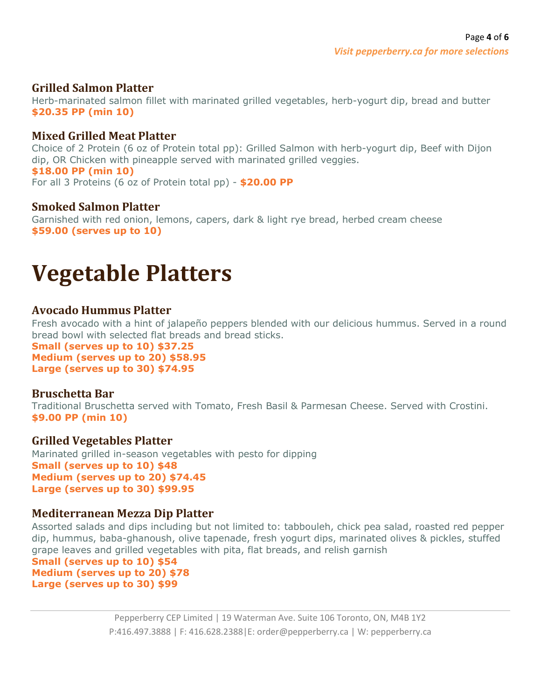#### **Grilled Salmon Platter**

Herb-marinated salmon fillet with marinated grilled vegetables, herb-yogurt dip, bread and butter **\$20.35 PP (min 10)**

#### **Mixed Grilled Meat Platter**

Choice of 2 Protein (6 oz of Protein total pp): Grilled Salmon with herb-yogurt dip, Beef with Dijon dip, OR Chicken with pineapple served with marinated grilled veggies. **\$18.00 PP (min 10)** For all 3 Proteins (6 oz of Protein total pp) - **\$20.00 PP**

#### **Smoked Salmon Platter**

Garnished with red onion, lemons, capers, dark & light rye bread, herbed cream cheese **\$59.00 (serves up to 10)**

## **Vegetable Platters**

#### **Avocado Hummus Platter**

Fresh avocado with a hint of jalapeño peppers blended with our delicious hummus. Served in a round bread bowl with selected flat breads and bread sticks.

**Small (serves up to 10) \$37.25 Medium (serves up to 20) \$58.95 Large (serves up to 30) \$74.95**

#### **Bruschetta Bar**

Traditional Bruschetta served with Tomato, Fresh Basil & Parmesan Cheese. Served with Crostini. **\$9.00 PP (min 10)**

#### **Grilled Vegetables Platter**

Marinated grilled in-season vegetables with pesto for dipping **Small (serves up to 10) \$48 Medium (serves up to 20) \$74.45 Large (serves up to 30) \$99.95**

#### **Mediterranean Mezza Dip Platter**

Assorted salads and dips including but not limited to: tabbouleh, chick pea salad, roasted red pepper dip, hummus, baba-ghanoush, olive tapenade, fresh yogurt dips, marinated olives & pickles, stuffed grape leaves and grilled vegetables with pita, flat breads, and relish garnish

**Small (serves up to 10) \$54 Medium (serves up to 20) \$78 Large (serves up to 30) \$99**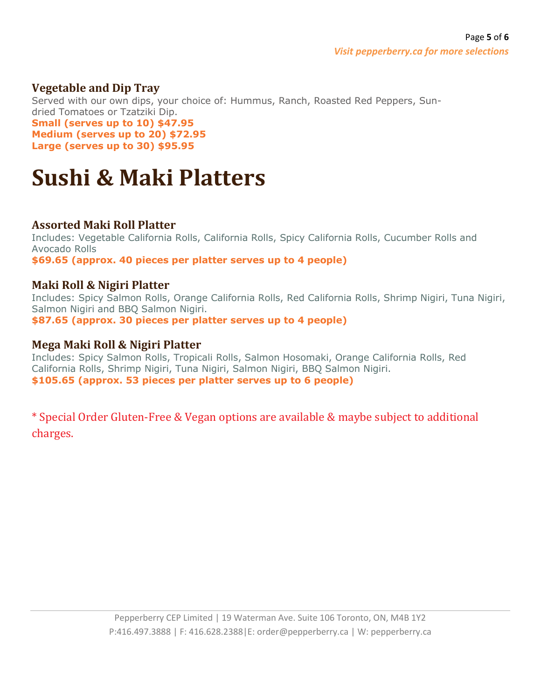## **Vegetable and Dip Tray**

Served with our own dips, your choice of: Hummus, Ranch, Roasted Red Peppers, Sundried Tomatoes or Tzatziki Dip. **Small (serves up to 10) \$47.95 Medium (serves up to 20) \$72.95 Large (serves up to 30) \$95.95**

## **Sushi & Maki Platters**

### **Assorted Maki Roll Platter**

Includes: Vegetable California Rolls, California Rolls, Spicy California Rolls, Cucumber Rolls and Avocado Rolls **\$69.65 (approx. 40 pieces per platter serves up to 4 people)**

#### **Maki Roll & Nigiri Platter**

Includes: Spicy Salmon Rolls, Orange California Rolls, Red California Rolls, Shrimp Nigiri, Tuna Nigiri, Salmon Nigiri and BBQ Salmon Nigiri. **\$87.65 (approx. 30 pieces per platter serves up to 4 people)**

### **Mega Maki Roll & Nigiri Platter**

Includes: Spicy Salmon Rolls, Tropicali Rolls, Salmon Hosomaki, Orange California Rolls, Red California Rolls, Shrimp Nigiri, Tuna Nigiri, Salmon Nigiri, BBQ Salmon Nigiri. **\$105.65 (approx. 53 pieces per platter serves up to 6 people)**

\* Special Order Gluten-Free & Vegan options are available & maybe subject to additional charges.